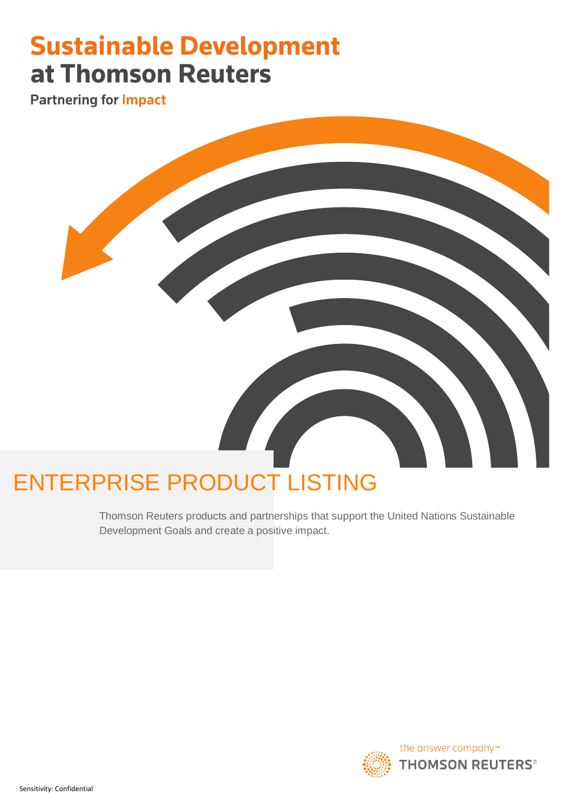# **Sustainable Development** at Thomson Reuters

**Partnering for Impact** 



# ENTERPRISE PRODUCT LISTING

Thomson Reuters products and partnerships that support the United Nations Sustainable Development Goals and create a positive impact.

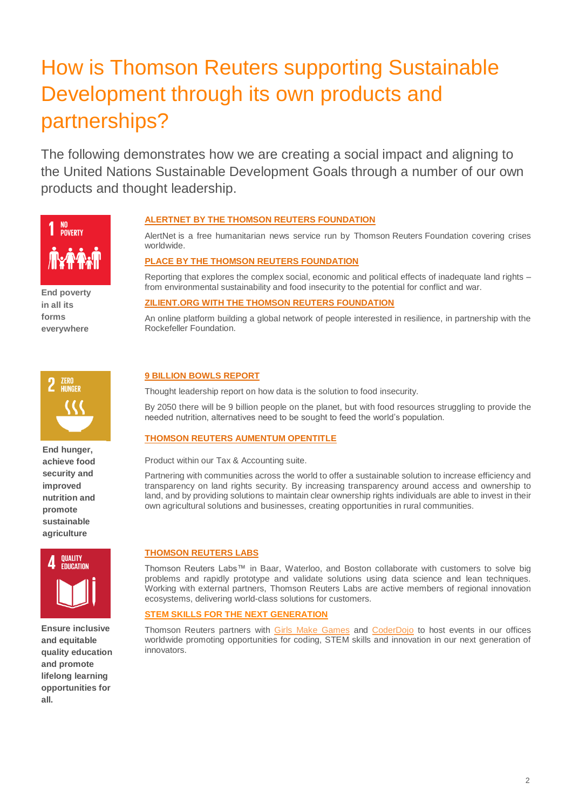# How is Thomson Reuters supporting Sustainable Development through its own products and partnerships?

The following demonstrates how we are creating a social impact and aligning to the United Nations Sustainable Development Goals through a number of our own products and thought leadership.



**End poverty in all its forms everywhere**

# **ALERTNET [BY THE THOMSON REUTERS FOUNDATION](https://www.reuters.com/subjects/AlertNet)**

AlertNet is a free humanitarian news service run by Thomson Reuters Foundation covering crises worldwide.

# **[PLACE BY THE THOMSON REUTERS FOUNDATION](http://www.thisisplace.org/about-us/)**

Reporting that explores the complex social, economic and political effects of inadequate land rights – from environmental sustainability and food insecurity to the potential for conflict and war.

## **[ZILIENT.ORG WITH THE THOMSON REUTERS FOUNDATION](https://get.zilient.org/page/content/passing-the-baton/)**

An online platform building a global network of people interested in resilience, in partnership with the Rockefeller Foundation.



**End hunger, achieve food security and improved nutrition and promote sustainable agriculture**



**Ensure inclusive and equitable quality education and promote lifelong learning opportunities for all.**

# **[9 BILLION BOWLS REPORT](http://reports.thomsonreuters.com/9billionbowls/)**

Thought leadership report on how data is the solution to food insecurity.

By 2050 there will be 9 billion people on the planet, but with food resources struggling to provide the needed nutrition, alternatives need to be sought to feed the world's population.

## **[THOMSON REUTERS AUMENTUM OPENTITLE](https://tax.thomsonreuters.com/aumentum/opentitle/)**

Product within our Tax & Accounting suite.

Partnering with communities across the world to offer a sustainable solution to increase efficiency and transparency on land rights security. By increasing transparency around access and ownership to land, and by providing solutions to maintain clear ownership rights individuals are able to invest in their own agricultural solutions and businesses, creating opportunities in rural communities.

#### **[THOMSON REUTERS LABS](https://innovation.thomsonreuters.com/en/labs.html)**

Thomson Reuters Labs™ in Baar, Waterloo, and Boston collaborate with customers to solve big problems and rapidly prototype and validate solutions using data science and lean techniques. Working with external partners, Thomson Reuters Labs are active members of regional innovation ecosystems, delivering world-class solutions for customers.

## **STEM SKILLS FOR THE NEXT GENERATION**

Thomson Reuters partners with [Girls Make Games](http://girlsmakegames.com/torontoworkshop.html) and [CoderDojo](https://blogs.thomsonreuters.com/answerson/thomson-reuters-hosts-first-girls-coderdojo-london/) to host events in our offices worldwide promoting opportunities for coding, STEM skills and innovation in our next generation of innovators.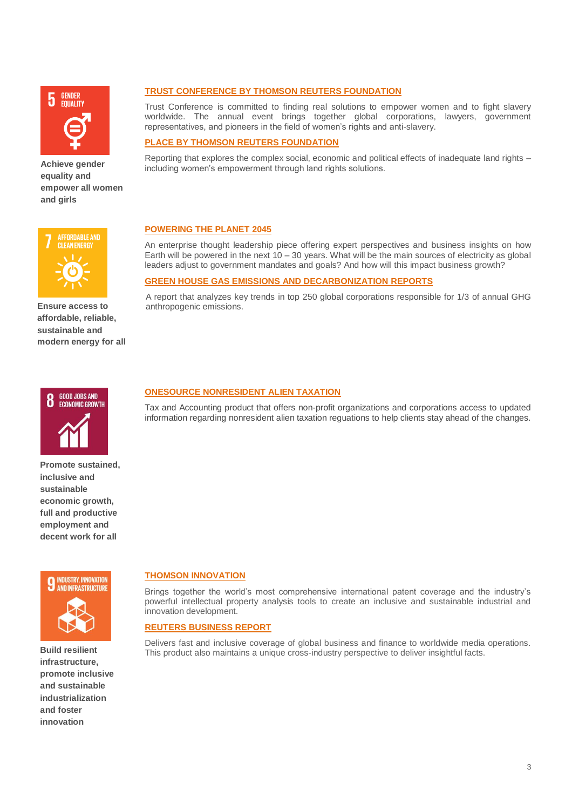

**Achieve gender equality and empower all women and girls** 



**GREEN HOUSE GAS EMISSIONS [AND DECARBONIZATION REPORTS](https://www.reuters.com/media-campaign/brandfeatures/transparency-report/the-pathway-to-leadership-for-carbon-intensive-businesses-feb2019.pdf)**

Trust Conference is committed to finding real solutions to empower women and to fight slavery worldwide. The annual event brings together global corporations, lawyers, government representatives, and pioneers in the field of women's rights and anti-slavery.

#### **[PLACE BY THOMSON REUTERS FOUNDATION](http://www.thisisplace.org/about-us/)**

**[POWERING THE PLANET 2045](https://www.thomsonreuters.com/answers-on/powering-planet.html)**

anthropogenic emissions.

Reporting that explores the complex social, economic and political effects of inadequate land rights – including women's empowerment through land rights solutions.

An enterprise thought leadership piece offering expert perspectives and business insights on how Earth will be powered in the next  $10 - 30$  years. What will be the main sources of electricity as global leaders adjust to government mandates and goals? And how will this impact business growth?

A report that analyzes key trends in top 250 global corporations responsible for 1/3 of annual GHG

# **AFFORDABLE AND CLEAN ENERGY**

**Ensure access to affordable, reliable, sustainable and** 



**modern energy for all** 



**Promote sustained, inclusive and sustainable economic growth, full and productive employment and decent work for all**



**Build resilient infrastructure, promote inclusive and sustainable industrialization and foster innovation**

# **[ONESOURCE NONRESIDENT ALIEN TAXATION](https://tax.thomsonreuters.com/products/brands/onesource/onesource-nonresident-alien-taxation/)**

Tax and Accounting product that offers non-profit organizations and corporations access to updated information regarding nonresident alien taxation reguations to help clients stay ahead of the changes.

# **[THOMSON INNOVATION](https://innovation.thomsonreuters.com/en.html)**

Brings together the world's most comprehensive international patent coverage and the industry's powerful intellectual property analysis tools to create an inclusive and sustainable industrial and innovation development.

#### **[REUTERS BUSINESS REPORT](https://www.reuters.com/finance)**

Delivers fast and inclusive coverage of global business and finance to worldwide media operations. This product also maintains a unique cross-industry perspective to deliver insightful facts.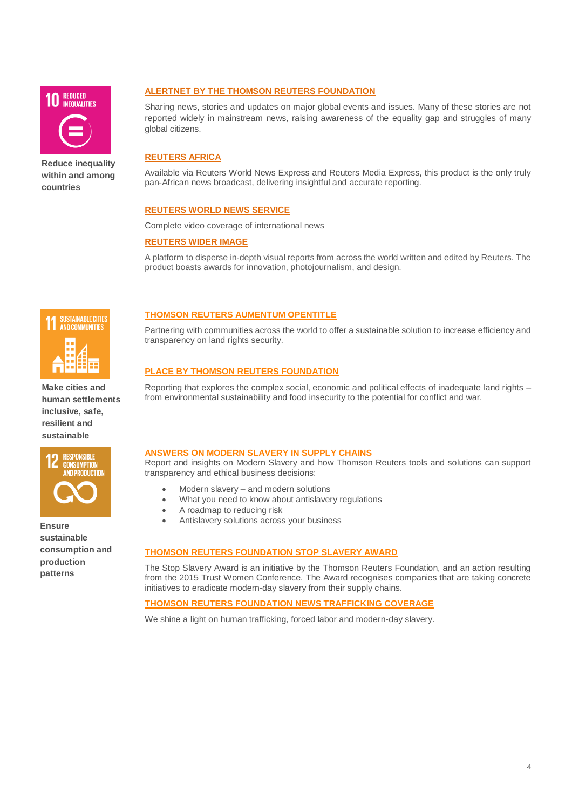

**Reduce inequality within and among countries** 

# **ALERTNET [BY THE THOMSON REUTERS FOUNDATION](https://www.reuters.com/subjects/AlertNet)**

Sharing news, stories and updates on major global events and issues. Many of these stories are not reported widely in mainstream news, raising awareness of the equality gap and struggles of many global citizens.

# **[REUTERS AFRICA](https://af.reuters.com/)**

Available via Reuters World News Express and Reuters Media Express, this product is the only truly pan-African news broadcast, delivering insightful and accurate reporting.

#### **[REUTERS WORLD NEWS SERVICE](https://www.reuters.com/news/world?)**

Complete video coverage of international news

#### **[REUTERS WIDER IMAGE](https://widerimage.reuters.com/)**

A platform to disperse in-depth visual reports from across the world written and edited by Reuters. The product boasts awards for innovation, photojournalism, and design.



**Make cities and human settlements inclusive, safe, resilient and sustainable**



**Ensure sustainable consumption and production patterns**

# **[THOMSON REUTERS AUMENTUM OPENTITLE](https://tax.thomsonreuters.com/aumentum/opentitle/)**

Partnering with communities across the world to offer a sustainable solution to increase efficiency and transparency on land rights security.

## **[PLACE BY THOMSON REUTERS FOUNDATION](http://www.thisisplace.org/about-us/)**

Reporting that explores the complex social, economic and political effects of inadequate land rights – from environmental sustainability and food insecurity to the potential for conflict and war.

# **[ANSWERS ON MODERN SLAVERY IN SUPPLY CHAINS](https://www.thomsonreuters.com/answers-on/modern-slavery.html)**

Report and insights on Modern Slavery and how Thomson Reuters tools and solutions can support transparency and ethical business decisions:

- Modern slavery and modern solutions
- What you need to know about antislavery regulations
- A roadmap to reducing risk
- Antislavery solutions across your business

# **[THOMSON REUTERS FOUNDATION STOP SLAVERY AWARD](http://www.stopslaveryaward.com/)**

The Stop Slavery Award is an initiative by the Thomson Reuters Foundation, and an action resulting from the 2015 Trust Women Conference. The Award recognises companies that are taking concrete initiatives to eradicate modern-day slavery from their supply chains.

#### **[THOMSON REUTERS FOUNDATION NEWS TRAFFICKING COVERAGE](http://news.trust.org/trafficking/)**

We shine a light on human trafficking, forced labor and modern-day slavery.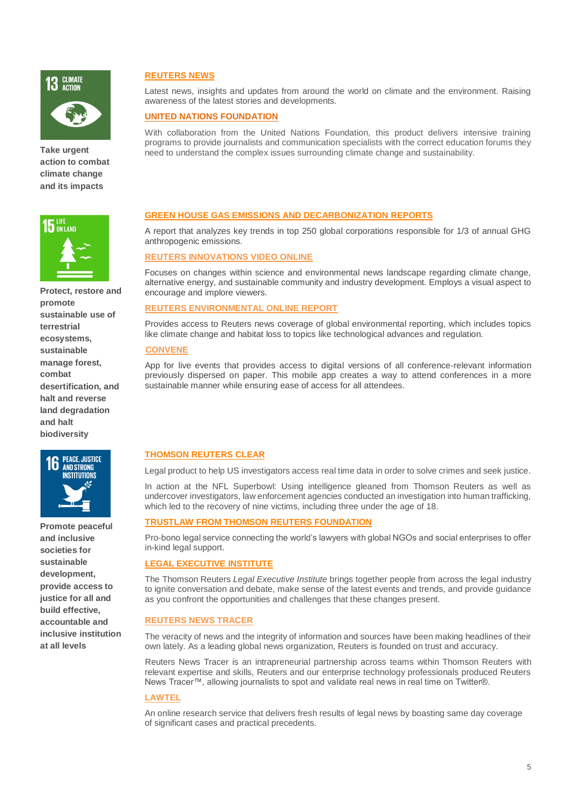

**Take urgent action to combat climate change and its impacts** 



**Protect, restore and promote sustainable use of terrestrial ecosystems, sustainable manage forest, combat desertification, and halt and reverse land degradation and halt biodiversity**



**Promote peaceful and inclusive societies for sustainable development, provide access to justice for all and build effective, accountable and inclusive institution at all levels**

# **[REUTERS NEWS](http://uk.reuters.com/news/environment)**

Latest news, insights and updates from around the world on climate and the environment. Raising awareness of the latest stories and developments.

# **[UNITED NATIONS FOUNDATION](https://unfoundation.org/)**

With collaboration from the United Nations Foundation, this product delivers intensive training programs to provide journalists and communication specialists with the correct education forums they need to understand the complex issues surrounding climate change and sustainability.

# **GREEN HOUSE GAS EMISSIONS [AND DECARBONIZATION REPORTS](https://www.reuters.com/media-campaign/brandfeatures/transparency-report/the-pathway-to-leadership-for-carbon-intensive-businesses-feb2019.pdf)**

A report that analyzes key trends in top 250 global corporations responsible for 1/3 of annual GHG anthropogenic emissions.

#### **[REUTERS INNOVATIONS VIDEO ONLINE](https://www.reuters.com/video/innovations)**

Focuses on changes within science and environmental news landscape regarding climate change, alternative energy, and sustainable community and industry development. Employs a visual aspect to encourage and implore viewers.

#### **[REUTERS ENVIRONMENTAL ONLINE REPORT](https://www.thomsonreuters.com/content/dam/openweb/documents/pdf/reuters-news-agency/environmental-online-report.pdf)**

Provides access to Reuters news coverage of global environmental reporting, which includes topics like climate change and habitat loss to topics like technological advances and regulation.

#### **[CONVENE](https://info.convene.thomsonreuters.com/en.html)**

App for live events that provides access to digital versions of all conference-relevant information previously dispersed on paper. This mobile app creates a way to attend conferences in a more sustainable manner while ensuring ease of access for all attendees.

# **[THOMSON REUTERS CLEAR](https://www.thomsonreuters.com/en/products-services/legal/corporate-and-government-practice/clear.html)**

Legal product to help US investigators access real time data in order to solve crimes and seek justice.

In action at the NFL Superbowl: Using intelligence gleaned from Thomson Reuters as well as undercover investigators, law enforcement agencies conducted an investigation into human trafficking, which led to the recovery of nine victims, including three under the age of 18.

#### **[TRUSTLAW FROM THOMSON REUTERS FOUNDATION](http://www.trust.org/trustlaw/)**

Pro-bono legal service connecting the world's lawyers with global NGOs and social enterprises to offer in-kind legal support.

#### **[LEGAL EXECUTIVE INSTITUTE](http://legalexecutiveinstitute.com/)**

The Thomson Reuters *Legal Executive Institute* brings together people from across the legal industry to ignite conversation and debate, make sense of the latest events and trends, and provide guidance as you confront the opportunities and challenges that these changes present.

## **[REUTERS NEWS TRACER](https://blogs.thomsonreuters.com/answerson/making-reuters-news-tracer/)**

The veracity of news and the integrity of information and sources have been making headlines of their own lately. As a leading global news organization, Reuters is founded on trust and accuracy.

Reuters News Tracer is an intrapreneurial partnership across teams within Thomson Reuters with relevant expertise and skills, Reuters and our enterprise technology professionals produced Reuters News Tracer™, allowing journalists to spot and validate real news in real time on Twitter®.

#### **[LAWTEL](https://www.lawtel.com/Login?ReturnUrl=%2fLogin.aspx)**

An online research service that delivers fresh results of legal news by boasting same day coverage of significant cases and practical precedents.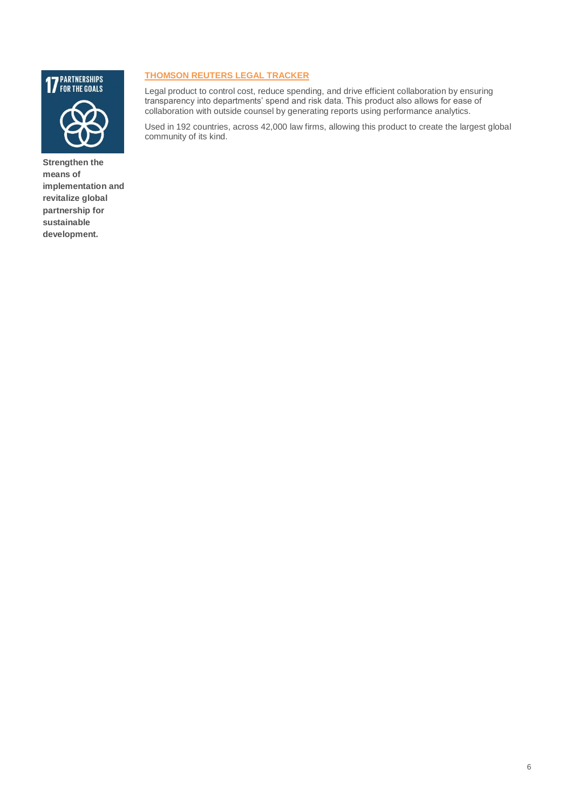

**Strengthen the means of implementation and revitalize global partnership for sustainable development.** 

# **[THOMSON REUTERS LEGAL TRACKER](https://legalsolutions.thomsonreuters.com/law-products/solutions/legal-tracker)**

Legal product to control cost, reduce spending, and drive efficient collaboration by ensuring transparency into departments' spend and risk data. This product also allows for ease of collaboration with outside counsel by generating reports using performance analytics.

Used in 192 countries, across 42,000 law firms, allowing this product to create the largest global community of its kind.